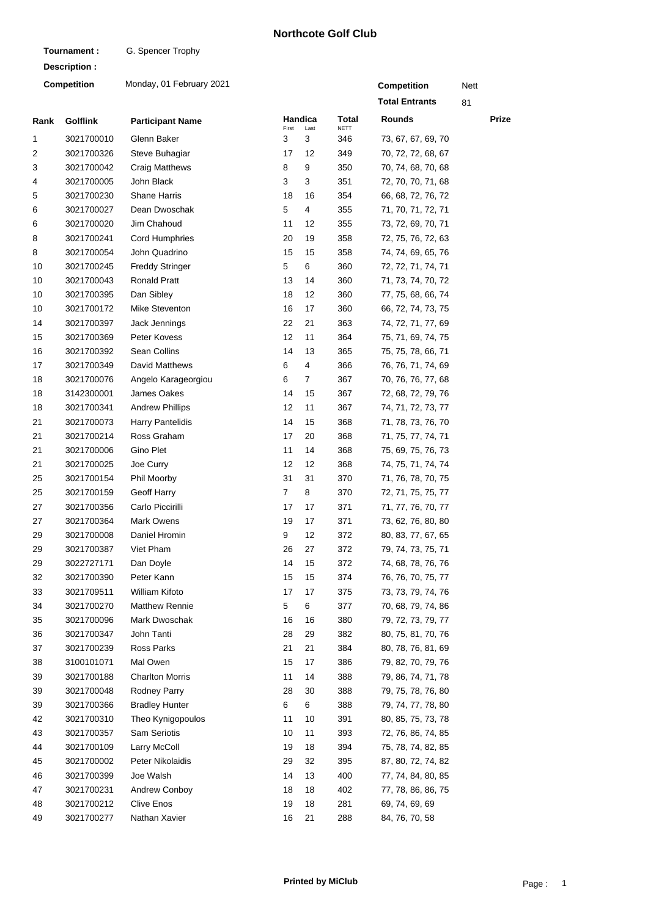## **Northcote Golf Club**

**Tournament :** G. Spencer Trophy

| Description :      |                 |                          |                |                        |                      |                       |      |       |  |
|--------------------|-----------------|--------------------------|----------------|------------------------|----------------------|-----------------------|------|-------|--|
| <b>Competition</b> |                 | Monday, 01 February 2021 |                |                        |                      | <b>Competition</b>    | Nett |       |  |
|                    |                 |                          |                |                        |                      | <b>Total Entrants</b> | 81   |       |  |
| Rank               | <b>Golflink</b> | <b>Participant Name</b>  | First          | <b>Handica</b><br>Last | Total<br><b>NETT</b> | <b>Rounds</b>         |      | Prize |  |
| 1                  | 3021700010      | Glenn Baker              | 3              | 3                      | 346                  | 73, 67, 67, 69, 70    |      |       |  |
| 2                  | 3021700326      | Steve Buhagiar           | 17             | 12                     | 349                  | 70, 72, 72, 68, 67    |      |       |  |
| 3                  | 3021700042      | <b>Craig Matthews</b>    | 8              | 9                      | 350                  | 70, 74, 68, 70, 68    |      |       |  |
| 4                  | 3021700005      | John Black               | 3              | 3                      | 351                  | 72, 70, 70, 71, 68    |      |       |  |
| 5                  | 3021700230      | <b>Shane Harris</b>      | 18             | 16                     | 354                  | 66, 68, 72, 76, 72    |      |       |  |
| 6                  | 3021700027      | Dean Dwoschak            | 5              | 4                      | 355                  | 71, 70, 71, 72, 71    |      |       |  |
| 6                  | 3021700020      | Jim Chahoud              | 11             | 12                     | 355                  | 73, 72, 69, 70, 71    |      |       |  |
| 8                  | 3021700241      | <b>Cord Humphries</b>    | 20             | 19                     | 358                  | 72, 75, 76, 72, 63    |      |       |  |
| 8                  | 3021700054      | John Quadrino            | 15             | 15                     | 358                  | 74, 74, 69, 65, 76    |      |       |  |
| 10                 | 3021700245      | <b>Freddy Stringer</b>   | 5              | 6                      | 360                  | 72, 72, 71, 74, 71    |      |       |  |
| 10                 | 3021700043      | <b>Ronald Pratt</b>      | 13             | 14                     | 360                  | 71, 73, 74, 70, 72    |      |       |  |
| 10                 | 3021700395      | Dan Sibley               | 18             | 12                     | 360                  | 77, 75, 68, 66, 74    |      |       |  |
| 10                 | 3021700172      | Mike Steventon           | 16             | 17                     | 360                  | 66, 72, 74, 73, 75    |      |       |  |
| 14                 | 3021700397      | Jack Jennings            | 22             | 21                     | 363                  | 74, 72, 71, 77, 69    |      |       |  |
| 15                 | 3021700369      | Peter Kovess             | 12             | 11                     | 364                  | 75, 71, 69, 74, 75    |      |       |  |
| 16                 | 3021700392      | Sean Collins             | 14             | 13                     | 365                  | 75, 75, 78, 66, 71    |      |       |  |
| 17                 | 3021700349      | David Matthews           | 6              | 4                      | 366                  | 76, 76, 71, 74, 69    |      |       |  |
| 18                 | 3021700076      | Angelo Karageorgiou      | 6              | 7                      | 367                  | 70, 76, 76, 77, 68    |      |       |  |
| 18                 | 3142300001      | James Oakes              | 14             | 15                     | 367                  | 72, 68, 72, 79, 76    |      |       |  |
| 18                 | 3021700341      | <b>Andrew Phillips</b>   | 12             | 11                     | 367                  | 74, 71, 72, 73, 77    |      |       |  |
| 21                 | 3021700073      | <b>Harry Pantelidis</b>  | 14             | 15                     | 368                  | 71, 78, 73, 76, 70    |      |       |  |
| 21                 | 3021700214      | Ross Graham              | 17             | 20                     | 368                  | 71, 75, 77, 74, 71    |      |       |  |
| 21                 | 3021700006      | Gino Plet                | 11             | 14                     | 368                  | 75, 69, 75, 76, 73    |      |       |  |
| 21                 | 3021700025      | Joe Curry                | 12             | 12                     | 368                  | 74, 75, 71, 74, 74    |      |       |  |
| 25                 | 3021700154      | Phil Moorby              | 31             | 31                     | 370                  | 71, 76, 78, 70, 75    |      |       |  |
| 25                 | 3021700159      | Geoff Harry              | $\overline{7}$ | 8                      | 370                  | 72, 71, 75, 75, 77    |      |       |  |
| 27                 | 3021700356      | Carlo Piccirilli         | 17             | 17                     | 371                  | 71, 77, 76, 70, 77    |      |       |  |
| 27                 | 3021700364      | <b>Mark Owens</b>        | 19             | 17                     | 371                  | 73, 62, 76, 80, 80    |      |       |  |
| 29                 | 3021700008      | Daniel Hromin            | 9              | 12                     | 372                  | 80, 83, 77, 67, 65    |      |       |  |
| 29                 | 3021700387      | Viet Pham                | 26             | 27                     | 372                  | 79, 74, 73, 75, 71    |      |       |  |
| 29                 | 3022727171      | Dan Doyle                | 14             | 15                     | 372                  | 74, 68, 78, 76, 76    |      |       |  |
| 32                 | 3021700390      | Peter Kann               | 15             | 15                     | 374                  | 76, 76, 70, 75, 77    |      |       |  |
| 33                 | 3021709511      | William Kifoto           | 17             | 17                     | 375                  | 73, 73, 79, 74, 76    |      |       |  |
| 34                 | 3021700270      | <b>Matthew Rennie</b>    | 5              | 6                      | 377                  | 70, 68, 79, 74, 86    |      |       |  |
| 35                 | 3021700096      | Mark Dwoschak            | 16             | 16                     | 380                  | 79, 72, 73, 79, 77    |      |       |  |
| 36                 | 3021700347      | John Tanti               | 28             | 29                     | 382                  | 80, 75, 81, 70, 76    |      |       |  |
| 37                 | 3021700239      | Ross Parks               | 21             | 21                     | 384                  | 80, 78, 76, 81, 69    |      |       |  |
| 38                 | 3100101071      | Mal Owen                 | 15             | 17                     | 386                  | 79, 82, 70, 79, 76    |      |       |  |
| 39                 | 3021700188      | <b>Charlton Morris</b>   | 11             | 14                     | 388                  | 79, 86, 74, 71, 78    |      |       |  |
| 39                 | 3021700048      | Rodney Parry             | 28             | 30                     | 388                  | 79, 75, 78, 76, 80    |      |       |  |
| 39                 | 3021700366      | <b>Bradley Hunter</b>    | 6              | 6                      | 388                  | 79, 74, 77, 78, 80    |      |       |  |
| 42                 | 3021700310      | Theo Kynigopoulos        | 11             | 10                     | 391                  | 80, 85, 75, 73, 78    |      |       |  |
| 43                 | 3021700357      | Sam Seriotis             | 10             | 11                     | 393                  | 72, 76, 86, 74, 85    |      |       |  |
| 44                 | 3021700109      | Larry McColl             | 19             | 18                     | 394                  | 75, 78, 74, 82, 85    |      |       |  |
| 45                 | 3021700002      | Peter Nikolaidis         | 29             | 32                     | 395                  | 87, 80, 72, 74, 82    |      |       |  |
| 46                 | 3021700399      | Joe Walsh                | 14             | 13                     | 400                  | 77, 74, 84, 80, 85    |      |       |  |
| 47                 | 3021700231      | Andrew Conboy            | 18             | 18                     | 402                  | 77, 78, 86, 86, 75    |      |       |  |
| 48                 | 3021700212      | <b>Clive Enos</b>        | 19             | 18                     | 281                  | 69, 74, 69, 69        |      |       |  |
| 49                 | 3021700277      | Nathan Xavier            | 16             | 21                     | 288                  | 84, 76, 70, 58        |      |       |  |